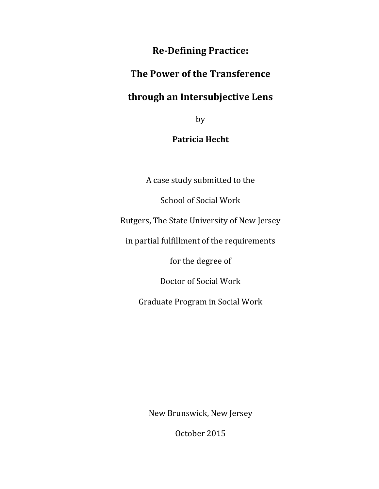## **Re-Defining Practice:**

## **The Power of the Transference**

# **through an Intersubjective Lens**

by

## **Patricia Hecht**

A case study submitted to the

School of Social Work

Rutgers, The State University of New Jersey

in partial fulfillment of the requirements

for the degree of

Doctor of Social Work

Graduate Program in Social Work

New Brunswick, New Jersey

October 2015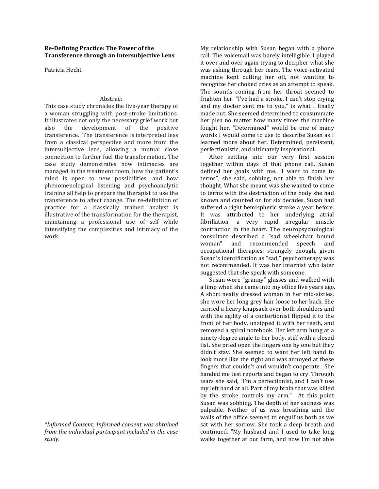#### **Re-Defining Practice: The Power of the Transference through an Intersubjective Lens**

Patricia Hecht

### Abstract

This case study chronicles the five-year therapy of a woman struggling with post-stroke limitations. It illustrates not only the necessary grief work but also the development of the positive transference. The transference is interpreted less from a classical perspective and more from the intersubjective lens, allowing a mutual close connection to further fuel the transformation. The case study demonstrates how intimacies are managed in the treatment room, how the patient's mind is open to new possibilities, and how phenomenological listening and psychoanalytic training all help to prepare the therapist to use the transference to affect change. The re-definition of practice for a classically trained analyst is illustrative of the transformation for the therapist, maintaining a professional use of self while intensifying the complexities and intimacy of the work.

*\*Informed Consent: Informed consent was obtained from the individual participant included in the case study.*

My relationship with Susan began with a phone call. The voicemail was barely intelligible. I played it over and over again trying to decipher what she was asking through her tears. The voice-activated machine kept cutting her off, not wanting to recognize her choked cries as an attempt to speak. The sounds coming from her throat seemed to frighten her. "I've had a stroke, I can't stop crying and my doctor sent me to you," is what I finally made out. She seemed determined to consummate her plea no matter how many times the machine fought her. "Determined" would be one of many words I would come to use to describe Susan as I learned more about her. Determined, persistent, perfectionistic, and ultimately inspirational.

After settling into our very first session together within days of that phone call, Susan defined her goals with me. "I want to come to terms", she said, sobbing, not able to finish her thought. What she meant was she wanted to come to terms with the destruction of the body she had known and counted on for six decades. Susan had suffered a right hemispheric stroke a year before. It was attributed to her underlying atrial fibrillation, a very rapid irregular muscle contraction in the heart. The neuropsychological consultant described a "sad wheelchair bound woman" and recommended speech and occupational therapies; strangely enough, given Susan's identification as "sad," psychotherapy was not recommended. It was her internist who later suggested that she speak with someone.

Susan wore "granny" glasses and walked with a limp when she came into my office five years ago. A short neatly dressed woman in her mid-sixties, she wore her long grey hair loose to her back. She carried a heavy knapsack over both shoulders and with the agility of a contortionist flipped it to the front of her body, unzipped it with her teeth, and removed a spiral notebook. Her left arm hung at a ninety-degree angle to her body, stiff with a closed fist. She pried open the fingers one by one but they didn't stay. She seemed to want her left hand to look more like the right and was annoyed at these fingers that couldn't and wouldn't cooperate. She handed me test reports and began to cry. Through tears she said, "I'm a perfectionist, and I can't use my left hand at all. Part of my brain that was killed by the stroke controls my arm." At this point Susan was sobbing. The depth of her sadness was palpable. Neither of us was breathing and the walls of the office seemed to engulf us both as we sat with her sorrow. She took a deep breath and continued. "My husband and I used to take long walks together at our farm, and now I'm not able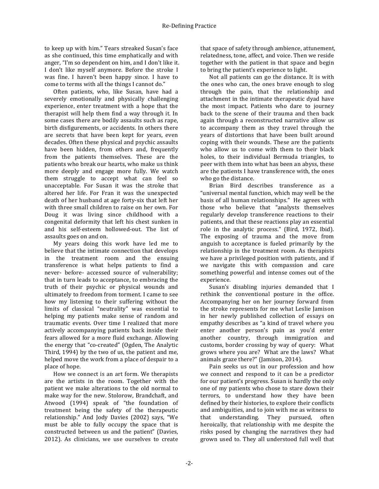to keep up with him." Tears streaked Susan's face as she continued, this time emphatically and with anger, "I'm so dependent on him, and I don't like it. I don't like myself anymore. Before the stroke I was fine. I haven't been happy since. I have to come to terms with all the things I cannot do."

Often patients, who, like Susan, have had a severely emotionally and physically challenging experience, enter treatment with a hope that the therapist will help them find a way through it. In some cases there are bodily assaults such as rape. birth disfigurements, or accidents. In others there are secrets that have been kept for years, even decades. Often these physical and psychic assaults have been hidden, from others and, frequently from the patients themselves. These are the patients who break our hearts, who make us think more deeply and engage more fully. We watch them struggle to accept what can feel so unacceptable. For Susan it was the stroke that altered her life. For Fran it was the unexpected death of her husband at age forty-six that left her with three small children to raise on her own. For Doug it was living since childhood with a congenital deformity that left his chest sunken in and his self-esteem hollowed-out. The list of assaults goes on and on.

My years doing this work have led me to believe that the intimate connection that develops in the treatment room and the ensuing transference is what helps patients to find a never- before- accessed source of vulnerability; that in turn leads to acceptance, to embracing the truth of their psychic or physical wounds and ultimately to freedom from torment. I came to see how my listening to their suffering without the limits of classical "neutrality" was essential to helping my patients make sense of random and traumatic events. Over time I realized that more actively accompanying patients back inside their fears allowed for a more fluid exchange. Allowing the energy that "co-created" (Ogden, The Analytic Third, 1994) by the two of us, the patient and me. helped move the work from a place of despair to a place of hope.

How we connect is an art form. We therapists are the artists in the room. Together with the patient we make alterations to the old normal to make way for the new. Stolorow, Brandchaft, and Atwood (1994) speak of "the foundation of treatment being the safety of the therapeutic relationship." And Jody Davies (2002) says, "We must be able to fully occupy the space that is constructed between us and the patient" (Davies, 2012). As clinicians, we use ourselves to create that space of safety through ambience, attunement, relatedness, tone, affect, and voice. Then we reside together with the patient in that space and begin to bring the patient's experience to light.

Not all patients can go the distance. It is with the ones who can, the ones brave enough to slog through the pain, that the relationship and attachment in the intimate therapeutic dyad have the most impact. Patients who dare to journey back to the scene of their trauma and then back again through a reconstructed narrative allow us to accompany them as they travel through the years of distortions that have been built around coping with their wounds. These are the patients who allow us to come with them to their black holes, to their individual Bermuda triangles, to peer with them into what has been an abyss, these are the patients I have transference with, the ones who go the distance.

Brian Bird describes transference as a "universal mental function, which may well be the basis of all human relationships." He agrees with those who believe that "analysts themselves regularly develop transference reactions to their patients, and that these reactions play an essential role in the analytic process." (Bird, 1972, Ibid). The exposing of trauma and the move from anguish to acceptance is fueled primarily by the relationship in the treatment room. As therapists we have a privileged position with patients, and if we navigate this with compassion and care something powerful and intense comes out of the experience.

Susan's disabling injuries demanded that I rethink the conventional posture in the office. Accompanying her on her journey forward from the stroke represents for me what Leslie Jamison in her newly published collection of essays on empathy describes as "a kind of travel where you enter another person's pain as you'd enter another country, through immigration and customs, border crossing by way of query: What grows where you are? What are the laws? What animals graze there?" (Jamison, 2014).

Pain seeks us out in our profession and how we connect and respond to it can be a predictor for our patient's progress. Susan is hardly the only one of my patients who chose to stare down their terrors, to understand how they have been defined by their histories, to explore their conflicts and ambiguities, and to join with me as witness to that understanding. They pursued, often heroically, that relationship with me despite the risks posed by changing the narratives they had grown used to. They all understood full well that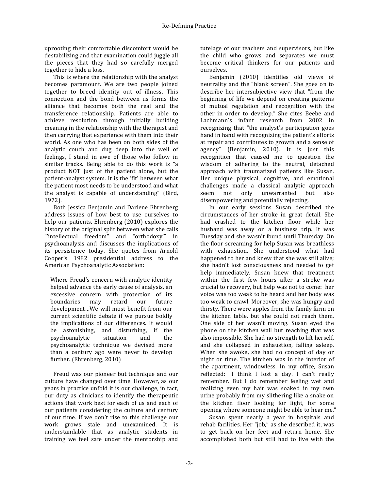uprooting their comfortable discomfort would be destabilizing and that examination could juggle all the pieces that they had so carefully merged together to hide a loss.

This is where the relationship with the analyst becomes paramount. We are two people joined together to breed identity out of illness. This connection and the bond between us forms the alliance that becomes both the real and the transference relationship. Patients are able to achieve resolution through initially building meaning in the relationship with the therapist and then carrying that experience with them into their world. As one who has been on both sides of the analytic couch and dug deep into the well of feelings, I stand in awe of those who follow in similar tracks. Being able to do this work is "a product NOT just of the patient alone, but the patient-analyst system. It is the 'fit' between what the patient most needs to be understood and what the analyst is capable of understanding" (Bird, 1972).

Both Jessica Benjamin and Darlene Ehrenberg address issues of how best to use ourselves to help our patients. Ehrenberg (2010) explores the history of the original split between what she calls "'intellectual freedom" and "orthodoxy'" in psychoanalysis and discusses the implications of its persistence today. She quotes from Arnold Cooper's 1982 presidential address to the American Psychoanalytic Association:

Where Freud's concern with analytic identity helped advance the early cause of analysis, an excessive concern with protection of its boundaries may retard our future development...We will most benefit from our current scientific debate if we pursue boldly the implications of our differences. It would be astonishing, and disturbing, if the psychoanalytic situation and the psychoanalytic technique we devised more than a century ago were never to develop further. (Ehrenberg, 2010)

Freud was our pioneer but technique and our culture have changed over time. However, as our years in practice unfold it is our challenge, in fact, our duty as clinicians to identify the therapeutic actions that work best for each of us and each of our patients considering the culture and century of our time. If we don't rise to this challenge our work grows stale and unexamined. It is understandable that as analytic students in training we feel safe under the mentorship and

tutelage of our teachers and supervisors, but like the child who grows and separates we must become critical thinkers for our patients and ourselves.

Benjamin (2010) identifies old views of neutrality and the "blank screen". She goes on to describe her intersubjective view that "from the beginning of life we depend on creating patterns of mutual regulation and recognition with the other in order to develop." She cites Beebe and Lachmann's infant research from 2002 in recognizing that "the analyst's participation goes hand in hand with recognizing the patient's efforts at repair and contributes to growth and a sense of agency" (Benjamin, 2010). It is just this recognition that caused me to question the wisdom of adhering to the neutral, detached approach with traumatized patients like Susan. Her unique physical, cognitive, and emotional challenges made a classical analytic approach seem not only unwarranted but also disempowering and potentially rejecting.

In our early sessions Susan described the circumstances of her stroke in great detail. She had crashed to the kitchen floor while her husband was away on a business trip. It was Tuesday and she wasn't found until Thursday. On the floor screaming for help Susan was breathless with exhaustion. She understood what had happened to her and knew that she was still alive; she hadn't lost consciousness and needed to get help immediately. Susan knew that treatment within the first few hours after a stroke was crucial to recovery, but help was not to come: her voice was too weak to be heard and her body was too weak to crawl. Moreover, she was hungry and thirsty. There were apples from the family farm on the kitchen table, but she could not reach them. One side of her wasn't moving. Susan eyed the phone on the kitchen wall but reaching that was also impossible. She had no strength to lift herself, and she collapsed in exhaustion, falling asleep. When she awoke, she had no concept of day or night or time. The kitchen was in the interior of the apartment, windowless. In my office, Susan reflected: "I think I lost a day. I can't really remember. But I do remember feeling wet and realizing even my hair was soaked in my own urine probably from my slithering like a snake on the kitchen floor looking for light, for some opening where someone might be able to hear me."

Susan spent nearly a year in hospitals and rehab facilities. Her "job," as she described it, was to get back on her feet and return home. She accomplished both but still had to live with the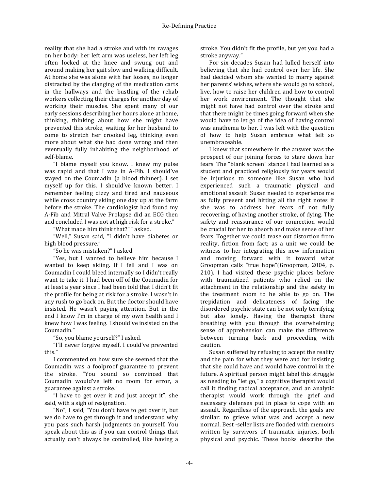reality that she had a stroke and with its ravages on her body: her left arm was useless, her left leg often locked at the knee and swung out and around making her gait slow and walking difficult. At home she was alone with her losses, no longer distracted by the clanging of the medication carts in the hallways and the bustling of the rehab workers collecting their charges for another day of working their muscles. She spent many of our early sessions describing her hours alone at home, thinking, thinking about how she might have prevented this stroke, waiting for her husband to come to stretch her crooked leg, thinking even more about what she had done wrong and then eventually fully inhabiting the neighborhood of self-blame.

"I blame myself you know. I knew my pulse was rapid and that I was in A-Fib. I should've stayed on the Coumadin (a blood thinner). I set myself up for this. I should've known better. I remember feeling dizzy and tired and nauseous while cross country skiing one day up at the farm before the stroke. The cardiologist had found my A-Fib and Mitral Valve Prolapse did an ECG then and concluded I was not at high risk for a stroke."

"What made him think that?" I asked.

"Well," Susan said, "I didn't have diabetes or high blood pressure."

"So he was mistaken?" I asked.

"Yes, but I wanted to believe him because I wanted to keep skiing. If I fell and I was on Coumadin I could bleed internally so I didn't really want to take it. I had been off of the Coumadin for at least a year since I had been told that I didn't fit the profile for being at risk for a stroke. I wasn't in any rush to go back on. But the doctor should have insisted. He wasn't paying attention. But in the end I know I'm in charge of my own health and I knew how I was feeling. I should've insisted on the Coumadin."

"So, you blame yourself?" I asked.

"I'll never forgive myself. I could've prevented this."

I commented on how sure she seemed that the Coumadin was a foolproof guarantee to prevent the stroke. "You sound so convinced that Coumadin would've left no room for error, a guarantee against a stroke."

"I have to get over it and just accept it", she said, with a sigh of resignation.

"No", I said, "You don't have to get over it, but we do have to get through it and understand why you pass such harsh judgments on yourself. You speak about this as if you can control things that actually can't always be controlled, like having a

stroke. You didn't fit the profile, but yet you had a stroke anyway."

For six decades Susan had lulled herself into believing that she had control over her life. She had decided whom she wanted to marry against her parents' wishes, where she would go to school, live, how to raise her children and how to control her work environment. The thought that she might not have had control over the stroke and that there might be times going forward when she would have to let go of the idea of having control was anathema to her. I was left with the question of how to help Susan embrace what felt so unembraceable. 

I knew that somewhere in the answer was the prospect of our joining forces to stare down her fears. The "blank screen" stance I had learned as a student and practiced religiously for years would be injurious to someone like Susan who had experienced such a traumatic physical and emotional assault. Susan needed to experience me as fully present and hitting all the right notes if she was to address her fears of not fully recovering, of having another stroke, of dying. The safety and reassurance of our connection would be crucial for her to absorb and make sense of her fears. Together we could tease out distortion from reality, fiction from fact; as a unit we could be witness to her integrating this new information and moving forward with it toward what Groopman calls "true hope"(Groopman, 2004, p. 210). I had visited these psychic places before with traumatized patients who relied on the attachment in the relationship and the safety in the treatment room to be able to go on. The trepidation and delicateness of facing the disordered psychic state can be not only terrifying but also lonely. Having the therapist there breathing with you through the overwhelming sense of apprehension can make the difference between turning back and proceeding with caution. 

Susan suffered by refusing to accept the reality and the pain for what they were and for insisting that she could have and would have control in the future. A spiritual person might label this struggle as needing to "let go," a cognitive therapist would call it finding radical acceptance, and an analytic therapist would work through the grief and necessary defenses put in place to cope with an assault. Regardless of the approach, the goals are similar: to grieve what was and accept a new normal. Best -seller lists are flooded with memoirs written by survivors of traumatic injuries, both physical and psychic. These books describe the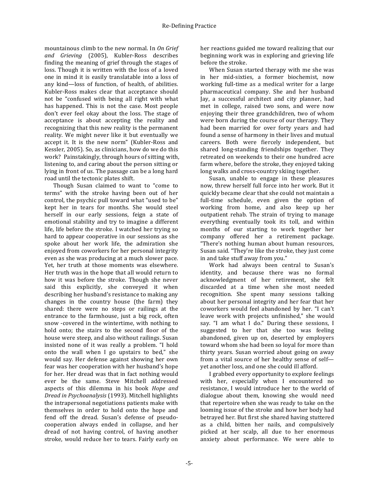mountainous climb to the new normal. In On Grief and *Grieving* (2005), Kubler-Ross describes finding the meaning of grief through the stages of loss. Though it is written with the loss of a loved one in mind it is easily translatable into a loss of any kind-loss of function, of health, of abilities. Kubler-Ross makes clear that acceptance should not be "confused with being all right with what has happened. This is not the case. Most people don't ever feel okay about the loss. The stage of acceptance is about accepting the reality and recognizing that this new reality is the permanent reality. We might never like it but eventually we accept it. It is the new norm" (Kubler-Ross and Kessler, 2005). So, as clinicians, how do we do this work? Painstakingly, through hours of sitting with, listening to, and caring about the person sitting or lying in front of us. The passage can be a long hard road until the tectonic plates shift.

Though Susan claimed to want to "come to terms" with the stroke having been out of her control, the psychic pull toward what "used to be" kept her in tears for months. She would steel herself in our early sessions, feign a state of emotional stability and try to imagine a different life, life before the stroke. I watched her trying so hard to appear cooperative in our sessions as she spoke about her work life, the admiration she enjoyed from coworkers for her personal integrity even as she was producing at a much slower pace. Yet, her truth at those moments was elsewhere. Her truth was in the hope that all would return to how it was before the stroke. Though she never said this explicitly, she conveyed it when describing her husband's resistance to making any changes in the country house (the farm) they shared: there were no steps or railings at the entrance to the farmhouse, just a big rock, often snow -covered in the wintertime, with nothing to hold onto: the stairs to the second floor of the house were steep, and also without railings. Susan insisted none of it was really a problem. "I hold onto the wall when I go upstairs to bed," she would say. Her defense against showing her own fear was her cooperation with her husband's hope for her. Her dread was that in fact nothing would ever be the same. Steve Mitchell addressed aspects of this dilemma in his book *Hope and Dread in Psychoanalysis* (1993). Mitchell highlights the intrapersonal negotiations patients make with themselves in order to hold onto the hope and fend off the dread. Susan's defense of pseudocooperation always ended in collapse, and her dread of not having control, of having another stroke, would reduce her to tears. Fairly early on

her reactions guided me toward realizing that our beginning work was in exploring and grieving life before the stroke.

When Susan started therapy with me she was in her mid-sixties, a former biochemist, now working full-time as a medical writer for a large pharmaceutical company. She and her husband Jay, a successful architect and city planner, had met in college, raised two sons, and were now enjoying their three grandchildren, two of whom were born during the course of our therapy. They had been married for over forty years and had found a sense of harmony in their lives and mutual careers. Both were fiercely independent, but shared long-standing friendships together. They retreated on weekends to their one hundred acre farm where, before the stroke, they enjoyed taking long walks and cross-country skiing together.

Susan, unable to engage in these pleasures now, threw herself full force into her work. But it quickly became clear that she could not maintain a full-time schedule, even given the option of working from home, and also keep up her outpatient rehab. The strain of trying to manage everything eventually took its toll, and within months of our starting to work together her company offered her a retirement package. "There's nothing human about human resources, Susan said. "They're like the stroke, they just come in and take stuff away from you."

Work had always been central to Susan's identity, and because there was no formal acknowledgment of her retirement, she felt discarded at a time when she most needed recognition. She spent many sessions talking about her personal integrity and her fear that her coworkers would feel abandoned by her. "I can't leave work with projects unfinished," she would say. "I am what I do." During these sessions, I suggested to her that she too was feeling abandoned, given up on, deserted by employers toward whom she had been so loyal for more than thirty vears. Susan worried about going on away from a vital source of her healthy sense of selfyet another loss, and one she could ill afford.

I grabbed every opportunity to explore feelings with her, especially when I encountered no resistance. I would introduce her to the world of dialogue about them, knowing she would need that repertoire when she was ready to take on the looming issue of the stroke and how her body had betrayed her. But first she shared having stuttered as a child, bitten her nails, and compulsively picked at her scalp, all due to her enormous anxiety about performance. We were able to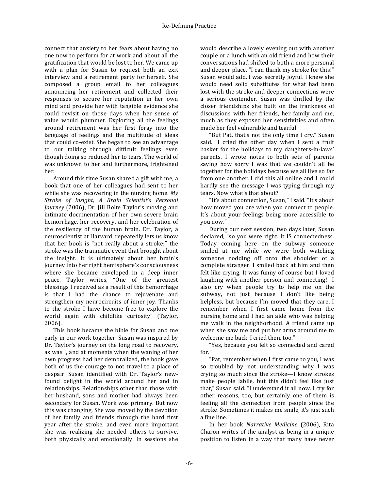connect that anxiety to her fears about having no one now to perform for at work and about all the gratification that would be lost to her. We came up with a plan for Susan to request both an exit interview and a retirement party for herself. She composed a group email to her colleagues announcing her retirement and collected their responses to secure her reputation in her own mind and provide her with tangible evidence she could revisit on those days when her sense of value would plummet. Exploring all the feelings around retirement was her first foray into the language of feelings and the multitude of ideas that could co-exist. She began to see an advantage to our talking through difficult feelings even though doing so reduced her to tears. The world of was unknown to her and furthermore, frightened her.

Around this time Susan shared a gift with me, a book that one of her colleagues had sent to her while she was recovering in the nursing home. My Stroke of *Insight*, *A Brain Scientist's Personal Journey* (2006), Dr. Jill Bolte Taylor's moving and intimate documentation of her own severe brain hemorrhage, her recovery, and her celebration of the resiliency of the human brain. Dr. Taylor, a neuroscientist at Harvard, repeatedly lets us know that her book is "not really about a stroke;" the stroke was the traumatic event that brought about the insight. It is ultimately about her brain's journey into her right hemisphere's consciousness where she became enveloped in a deep inner peace. Taylor writes, "One of the greatest blessings I received as a result of this hemorrhage is that I had the chance to rejuvenate and strengthen my neurocircuits of inner joy. Thanks to the stroke I have become free to explore the world again with childlike curiosity" (Taylor, 2006). 

This book became the bible for Susan and me early in our work together. Susan was inspired by Dr. Taylor's journey on the long road to recovery, as was I, and at moments when the waning of her own progress had her demoralized, the book gave both of us the courage to not travel to a place of despair. Susan identified with Dr. Taylor's newfound delight in the world around her and in relationships. Relationships other than those with her husband, sons and mother had always been secondary for Susan. Work was primary. But now this was changing. She was moved by the devotion of her family and friends through the hard first year after the stroke, and even more important she was realizing she needed others to survive, both physically and emotionally. In sessions she

would describe a lovely evening out with another couple or a lunch with an old friend and how their conversations had shifted to both a more personal and deeper place. "I can thank my stroke for this!" Susan would add. I was secretly joyful. I knew she would need solid substitutes for what had been lost with the stroke and deeper connections were a serious contender. Susan was thrilled by the closer friendships she built on the frankness of discussions with her friends, her family and me, much as they exposed her sensitivities and often made her feel vulnerable and tearful.

"But Pat, that's not the only time I cry," Susan said. "I cried the other day when I sent a fruit basket for the holidays to my daughters-in-laws' parents. I wrote notes to both sets of parents saying how sorry I was that we couldn't all be together for the holidays because we all live so far from one another. I did this all online and I could hardly see the message I was typing through my tears. Now what's that about?"

"It's about connection, Susan," I said. "It's about how moved you are when you connect to people. It's about your feelings being more accessible to you now."

During our next session, two days later, Susan declared, "so you were right. It IS connectedness. Today coming here on the subway someone smiled at me while we were both watching someone nodding off onto the shoulder of a complete stranger. I smiled back at him and then felt like crying. It was funny of course but I loved laughing with another person and connecting!  $\overline{I}$ also cry when people try to help me on the subway, not just because I don't like being helpless, but because I'm moved that they care. I remember when I first came home from the nursing home and I had an aide who was helping me walk in the neighborhood. A friend came up when she saw me and put her arms around me to welcome me back. I cried then, too."

"Yes, because you felt so connected and cared for."

"Pat, remember when I first came to you, I was so troubled by not understanding why I was crying so much since the stroke—I know strokes make people labile, but this didn't feel like just that," Susan said. "I understand it all now. I cry for other reasons, too, but certainly one of them is feeling all the connection from people since the stroke. Sometimes it makes me smile, it's just such a fine line."

In her book *Narrative Medicine* (2006), Rita Charon writes of the analyst as being in a unique position to listen in a way that many have never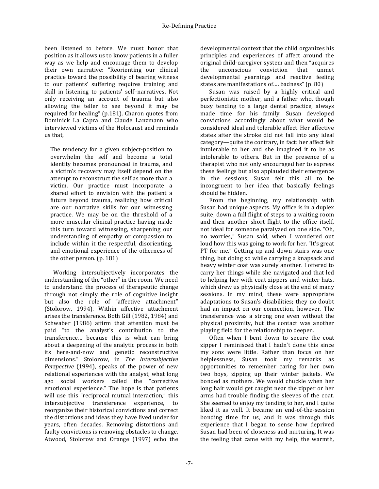been listened to before. We must honor that position as it allows us to know patients in a fuller way as we help and encourage them to develop their own narrative: "Reorienting our clinical practice toward the possibility of bearing witness to our patients' suffering requires training and skill in listening to patients' self-narratives. Not only receiving an account of trauma but also allowing the teller to see beyond it may be required for healing" (p.181). Charon quotes from Dominick La Capra and Claude Lanzmann who interviewed victims of the Holocaust and reminds us that,

The tendency for a given subject-position to overwhelm the self and become a total identity becomes pronounced in trauma, and a victim's recovery may itself depend on the attempt to reconstruct the self as more than a victim. Our practice must incorporate a shared effort to envision with the patient a future beyond trauma, realizing how critical are our narrative skills for our witnessing practice. We may be on the threshold of a more muscular clinical practice having made this turn toward witnessing, sharpening our understanding of empathy or compassion to include within it the respectful, disorienting, and emotional experience of the otherness of the other person. (p. 181)

Working intersubjectively incorporates the understanding of the "other" in the room. We need to understand the process of therapeutic change through not simply the role of cognitive insight but also the role of "affective attachment" (Stolorow, 1994). Within affective attachment arises the transference. Both Gill (1982, 1984) and Schwaber (1986) affirm that attention must be paid "to the analyst's contribution to the transference… because this is what can bring about a deepening of the analytic process in both its here-and-now and genetic reconstructive dimensions." Stolorow, in The Intersubjective *Perspective* (1994), speaks of the power of new relational experiences with the analyst, what long ago social workers called the "corrective emotional experience." The hope is that patients will use this "reciprocal mutual interaction," this intersubjective transference experience, to reorganize their historical convictions and correct the distortions and ideas they have lived under for years, often decades. Removing distortions and faulty convictions is removing obstacles to change. Atwood, Stolorow and Orange (1997) echo the

developmental context that the child organizes his principles and experiences of affect around the original child-caregiver system and then "acquires the unconscious conviction that unmet developmental yearnings and reactive feeling states are manifestations of.... badness" (p. 80)

Susan was raised by a highly critical and perfectionistic mother, and a father who, though busy tending to a large dental practice, always made time for his family. Susan developed convictions accordingly about what would be considered ideal and tolerable affect. Her affective states after the stroke did not fall into any ideal category—quite the contrary, in fact: her affect felt intolerable to her and she imagined it to be as intolerable to others. But in the presence of a therapist who not only encouraged her to express these feelings but also applauded their emergence in the sessions, Susan felt this all to be incongruent to her idea that basically feelings should be hidden.

From the beginning, my relationship with Susan had unique aspects. My office is in a duplex suite, down a full flight of steps to a waiting room and then another short flight to the office itself, not ideal for someone paralyzed on one side. "Oh, no worries," Susan said, when I wondered out loud how this was going to work for her. "It's great PT for me." Getting up and down stairs was one thing, but doing so while carrying a knapsack and heavy winter coat was surely another. I offered to carry her things while she navigated and that led to helping her with coat zippers and winter hats, which drew us physically close at the end of many sessions. In my mind, these were appropriate adaptations to Susan's disabilities; they no doubt had an impact on our connection, however. The transference was a strong one even without the physical proximity, but the contact was another playing field for the relationship to deepen.

Often when I bent down to secure the coat zipper I reminisced that I hadn't done this since my sons were little. Rather than focus on her helplessness, Susan took my remarks as opportunities to remember caring for her own two boys, zipping up their winter jackets. We bonded as mothers. We would chuckle when her long hair would get caught near the zipper or her arms had trouble finding the sleeves of the coat. She seemed to enjoy my tending to her, and I quite liked it as well. It became an end-of-the-session bonding time for us, and it was through this experience that I began to sense how deprived Susan had been of closeness and nurturing. It was the feeling that came with my help, the warmth,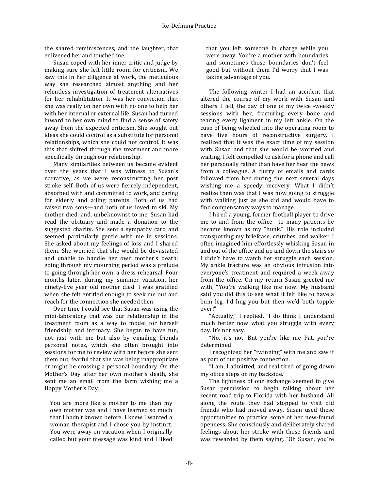the shared reminiscences, and the laughter, that enlivened her and touched me.

Susan coped with her inner critic and judge by making sure she left little room for criticism. We saw this in her diligence at work, the meticulous way she researched almost anything and her relentless investigation of treatment alternatives for her rehabilitation. It was her conviction that she was really on her own with no one to help her with her internal or external life. Susan had turned inward to her own mind to find a sense of safety away from the expected criticism. She sought out ideas she could control as a substitute for personal relationships, which she could not control. It was this that shifted through the treatment and more specifically through our relationship.

Many similarities between us became evident over the vears that I was witness to Susan's narrative, as we were reconstructing her post stroke self. Both of us were fiercely independent, absorbed with and committed to work, and caring for elderly and ailing parents. Both of us had raised two sons—and both of us loved to ski. My mother died, and, unbeknownst to me, Susan had read the obituary and made a donation to the suggested charity. She sent a sympathy card and seemed particularly gentle with me in sessions. She asked about my feelings of loss and I shared them. She worried that she would be devastated and unable to handle her own mother's death; going through my mourning period was a prelude to going through her own, a dress rehearsal. Four months later, during my summer vacation, her ninety-five year old mother died. I was gratified when she felt entitled enough to seek me out and reach for the connection she needed then.

Over time I could see that Susan was using the mini-laboratory that was our relationship in the treatment room as a way to model for herself friendship and intimacy. She began to have fun, not just with me but also by emailing friends personal notes, which she often brought into sessions for me to review with her before she sent them out, fearful that she was being inappropriate or might be crossing a personal boundary. On the Mother's Day after her own mother's death, she sent me an email from the farm wishing me a Happy Mother's Day:

You are more like a mother to me than my own mother was and I have learned so much that I hadn't known before. I knew I wanted a woman therapist and I chose you by instinct. You were away on vacation when I originally called but your message was kind and I liked that you left someone in charge while you were away. You're a mother with boundaries and sometimes those boundaries don't feel good but without them I'd worry that I was taking advantage of you.

The following winter I had an accident that altered the course of my work with Susan and others. I fell, the day of one of my twice -weekly sessions with her, fracturing every bone and tearing every ligament in my left ankle. On the cusp of being wheeled into the operating room to have five hours of reconstructive surgery, I realized that it was the exact time of my session with Susan and that she would be worried and waiting. I felt compelled to ask for a phone and call her personally rather than have her hear the news from a colleague. A flurry of emails and cards followed from her during the next several days wishing me a speedy recovery. What I didn't realize then was that I was now going to struggle with walking just as she did and would have to find compensatory ways to manage.

I hired a young, former football player to drive me to and from the office—to many patients he became known as my "hunk." His role included transporting my briefcase, crutches, and walker. I often imagined him effortlessly whisking Susan in and out of the office and up and down the stairs so I didn't have to watch her struggle each session. My ankle fracture was an obvious intrusion into everyone's treatment and required a week away from the office. On my return Susan greeted me with, "You're walking like me now! My husband said you did this to see what it felt like to have a bum leg. I'd hug you but then we'd both topple over!"

"Actually," I replied, "I do think I understand much better now what you struggle with every day. It's not easy."

"No, it's not. But you're like me Pat, you're determined.

I recognized her "twinning" with me and saw it as part of our positive connection.

"I am, I admitted, and real tired of going down my office steps on my backside."

The lightness of our exchange seemed to give Susan permission to begin talking about her recent road trip to Florida with her husband. All along the route they had stopped to visit old friends who had moved away. Susan used these opportunities to practice some of her new-found openness. She consciously and deliberately shared feelings about her stroke with those friends and was rewarded by them saying, "Oh Susan, you're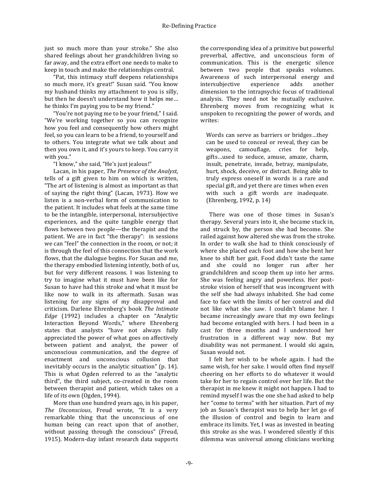just so much more than your stroke." She also shared feelings about her grandchildren living so far away, and the extra effort one needs to make to keep in touch and make the relationships central.

"Pat, this intimacy stuff deepens relationships so much more, it's great!" Susan said. "You know my husband thinks my attachment to you is silly, but then he doesn't understand how it helps me... he thinks I'm paying you to be my friend."

"You're not paying me to be your friend," I said. "We're working together so you can recognize how you feel and consequently how others might feel, so you can learn to be a friend, to yourself and to others. You integrate what we talk about and then you own it, and it's yours to keep. You carry it with you."

"I know," she said, "He's just jealous!"

Lacan, in his paper, *The Presence of the Analyst*, tells of a gift given to him on which is written, "The art of listening is almost as important as that of saying the right thing" (Lacan, 1973). How we listen is a non-verbal form of communication to the patient. It includes what feels at the same time to be the intangible, interpersonal, intersubjective experiences, and the quite tangible energy that flows between two people—the therapist and the patient. We are in fact "the therapy": in sessions we can "feel" the connection in the room, or not; it is through the feel of this connection that the work flows, that the dialogue begins. For Susan and me, the therapy embodied listening intently, both of us, but for very different reasons. I was listening to try to imagine what it must have been like for Susan to have had this stroke and what it must be like now to walk in its aftermath. Susan was listening for any signs of my disapproval and criticism. Darlene Ehrenberg's book The Intimate *Edge* (1992) includes a chapter on "Analytic Interaction Beyond Words," where Ehrenberg states that analysts "have not always fully appreciated the power of what goes on affectively between patient and analyst, the power of unconscious communication, and the degree of enactment and unconscious collusion that inevitably occurs in the analytic situation" (p. 14). This is what Ogden referred to as the "analytic third", the third subject, co-created in the room between therapist and patient, which takes on a life of its own (Ogden, 1994).

More than one hundred years ago, in his paper, The *Unconscious*, Freud wrote, "It is a very remarkable thing that the unconscious of one human being can react upon that of another, without passing through the conscious" (Freud, 1915). Modern-day infant research data supports

the corresponding idea of a primitive but powerful preverbal, affective, and unconscious form of communication. This is the energetic silence between two people that speaks volumes. Awareness of such interpersonal energy and intersubjective experience adds another dimension to the intrapsychic focus of traditional analysis. They need not be mutually exclusive. Ehrenberg moves from recognizing what is unspoken to recognizing the power of words, and writes:

Words can serve as barriers or bridges...they can be used to conceal or reveal, they can be weapons, camouflage, cries for help, gifts...used to seduce, amuse, amaze, charm, insult, penetrate, invade, betray, manipulate, hurt, shock, deceive, or distract. Being able to truly express oneself in words is a rare and special gift, and yet there are times when even with such a gift words are inadequate. (Ehrenberg, 1992, p. 14)

There was one of those times in Susan's therapy. Several vears into it, she became stuck in, and struck by, the person she had become. She railed against how altered she was from the stroke. In order to walk she had to think consciously of where she placed each foot and how she bent her knee to shift her gait. Food didn't taste the same and she could no longer run after her grandchildren and scoop them up into her arms. She was feeling angry and powerless. Her poststroke vision of herself that was incongruent with the self she had always inhabited. She had come face to face with the limits of her control and did not like what she saw. I couldn't blame her. I became increasingly aware that my own feelings had become entangled with hers. I had been in a cast for three months and I understood her frustration in a different way now. But my disability was not permanent. I would ski again, Susan would not.

I felt her wish to be whole again. I had the same wish, for her sake. I would often find myself cheering on her efforts to do whatever it would take for her to regain control over her life. But the therapist in me knew it might not happen. I had to remind myself I was the one she had asked to help her "come to terms" with her situation. Part of my job as Susan's therapist was to help her let go of the illusion of control and begin to learn and embrace its limits. Yet, I was as invested in beating this stroke as she was. I wondered silently if this dilemma was universal among clinicians working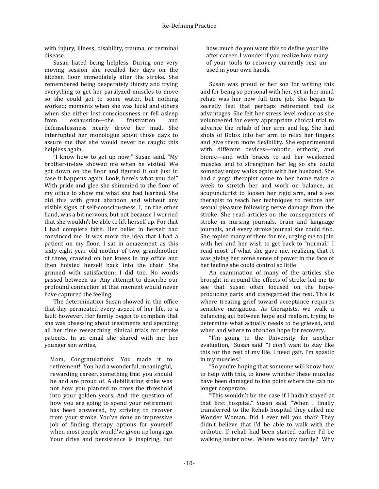with injury, illness, disability, trauma, or terminal disease.

Susan hated being helpless. During one very moving session she recalled her days on the kitchen floor immediately after the stroke. She remembered being desperately thirsty and trying everything to get her paralyzed muscles to move so she could get to some water, but nothing worked; moments when she was lucid and others when she either lost consciousness or fell asleep from exhaustion—the frustration and defenselessness nearly drove her mad. She interrupted her monologue about those days to assure me that she would never be caught this helpless again.

"I know how to get up now," Susan said. "My brother-in-law showed me when he visited. We got down on the floor and figured it out just in case it happens again. Look, here's what you do!" With pride and glee she shimmied to the floor of my office to show me what she had learned. She did this with great abandon and without any visible signs of self-consciousness. I, on the other hand, was a bit nervous, but not because I worried that she wouldn't be able to lift herself up. For that I had complete faith. Her belief in herself had convinced me. It was more the idea that I had a patient on my floor. I sat in amazement as this sixty-eight year old mother of two, grandmother of three, crawled on her knees in my office and then hoisted herself back into the chair. She grinned with satisfaction; I did too. No words passed between us. Any attempt to describe our profound connection at that moment would never have captured the feeling.

The determination Susan showed in the office that day permeated every aspect of her life, to a fault however. Her family began to complain that she was obsessing about treatments and spending all her time researching clinical trials for stroke patients. In an email she shared with me, her younger son writes,

Mom, Congratulations! You made it to retirement! You had a wonderful, meaningful, rewarding career, something that you should be and are proud of. A debilitating stoke was not how you planned to cross the threshold into your golden years. And the question of how you are going to spend your retirement has been answered, by striving to recover from your stroke. You've done an impressive job of finding therapy options for yourself when most people would've given up long ago. Your drive and persistence is inspiring, but

how much do you want this to define your life after career. I wonder if you realize how many of your tools to recovery currently rest unused in your own hands.

Susan was proud of her son for writing this and for being so personal with her, yet in her mind rehab was her new full time job. She began to secretly feel that perhaps retirement had its advantages. She felt her stress level reduce as she volunteered for every appropriate clinical trial to advance the rehab of her arm and leg. She had shots of Botox into her arm to relax her fingers and give them more flexibility. She experimented with different devices—robotic, orthotic, and bionic—and with braces to aid her weakened muscles and to strengthen her leg so she could someday enjoy walks again with her husband. She had a yoga therapist come to her home twice a week to stretch her and work on balance, an acupuncturist to loosen her rigid arm, and a sex therapist to teach her techniques to restore her sexual pleasure following nerve damage from the stroke. She read articles on the consequences of stroke in nursing journals, brain and language journals, and every stroke journal she could find. She copied many of them for me, urging me to join with her and her wish to get back to "normal." I read most of what she gave me, realizing that it was giving her some sense of power in the face of her feeling she could control so little.

An examination of many of the articles she brought in around the effects of stroke led me to see that Susan often focused on the hopeproducing parts and disregarded the rest. This is where treating grief toward acceptance requires sensitive navigation. As therapists, we walk a balancing act between hope and realism, trying to determine what actually needs to be grieved, and when and where to abandon hope for recovery.

"I'm going to the University for another evaluation," Susan said. "I don't want to stay like this for the rest of my life. I need gait. I'm spastic in my muscles."

"So you're hoping that someone will know how to help with this, to know whether these muscles have been damaged to the point where the can no longer cooperate."

"This wouldn't be the case if I hadn't stayed at that first hospital," Susan said. "When I finally transferred to the Rehab hospital they called me Wonder Woman. Did I ever tell you that? They didn't believe that I'd be able to walk with the orthotic. If rehab had been started earlier I'd be walking better now. Where was my family? Why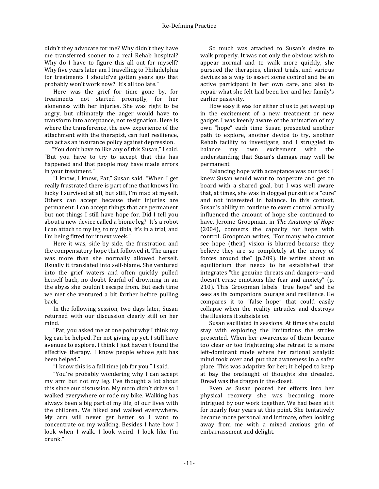didn't they advocate for me? Why didn't they have me transferred sooner to a real Rehab hospital? Why do I have to figure this all out for myself? Why five years later am I travelling to Philadelphia for treatments I should've gotten years ago that probably won't work now? It's all too late."

Here was the grief for time gone by, for treatments not started promptly, for her aloneness with her injuries. She was right to be angry, but ultimately the anger would have to transform into acceptance, not resignation. Here is where the transference, the new experience of the attachment with the therapist, can fuel resilience, can act as an insurance policy against depression.

"You don't have to like any of this Susan," I said. "But you have to try to accept that this has happened and that people may have made errors in your treatment."

"I know, I know, Pat," Susan said. "When I get really frustrated there is part of me that knows I'm lucky I survived at all, but still, I'm mad at myself. Others can accept because their injuries are permanent. I can accept things that are permanent but not things I still have hope for. Did I tell you about a new device called a bionic leg? It's a robot I can attach to my leg, to my tibia, it's in a trial, and I'm being fitted for it next week."

Here it was, side by side, the frustration and the compensatory hope that followed it. The anger was more than she normally allowed herself. Usually it translated into self-blame. She ventured into the grief waters and often quickly pulled herself back, no doubt fearful of drowning in an the abyss she couldn't escape from. But each time we met she ventured a bit farther before pulling back.

In the following session, two days later, Susan returned with our discussion clearly still on her mind.

"Pat, you asked me at one point why I think my leg can be helped. I'm not giving up yet. I still have avenues to explore. I think I just haven't found the effective therapy. I know people whose gait has been helped."

"I know this is a full time job for you," I said.

"You're probably wondering why I can accept my arm but not my leg. I've thought a lot about this since our discussion. My mom didn't drive so I walked everywhere or rode my bike. Walking has always been a big part of my life, of our lives with the children. We hiked and walked everywhere. My arm will never get better so I want to concentrate on my walking. Besides I hate how I look when I walk. I look weird. I look like I'm drunk."

So much was attached to Susan's desire to walk properly. It was not only the obvious wish to appear normal and to walk more quickly, she pursued the therapies, clinical trials, and various devices as a way to assert some control and be an active participant in her own care, and also to repair what she felt had been her and her family's earlier passivity.

How easy it was for either of us to get swept up in the excitement of a new treatment or new gadget. I was keenly aware of the animation of my own "hope" each time Susan presented another path to explore, another device to try, another Rehab facility to investigate, and I struggled to balance my own excitement with the understanding that Susan's damage may well be permanent.

Balancing hope with acceptance was our task. I knew Susan would want to cooperate and get on board with a shared goal, but I was well aware that, at times, she was in dogged pursuit of a "cure" and not interested in balance. In this context, Susan's ability to continue to exert control actually influenced the amount of hope she continued to have. Jerome Groopman, in The Anatomy of Hope (2004), connects the capacity for hope with control. Groopman writes, "For many who cannot see hope (their) vision is blurred because they believe they are so completely at the mercy of forces around the" (p.209). He writes about an equilibrium that needs to be established that integrates "the genuine threats and dangers—and doesn't erase emotions like fear and anxiety" (p. 210). This Groopman labels "true hope" and he sees as its companions courage and resilience. He compares it to "false hope" that could easily collapse when the reality intrudes and destroys the illusions it subsists on.

Susan vacillated in sessions. At times she could stay with exploring the limitations the stroke presented. When her awareness of them became too clear or too frightening she retreat to a more left-dominant mode where her rational analytic mind took over and put that awareness in a safer place. This was adaptive for her; it helped to keep at bay the onslaught of thoughts she dreaded. Dread was the dragon in the closet.

Even as Susan poured her efforts into her physical recovery she was becoming more intrigued by our work together. We had been at it for nearly four years at this point. She tentatively became more personal and intimate, often looking away from me with a mixed anxious grin of embarrassment and delight.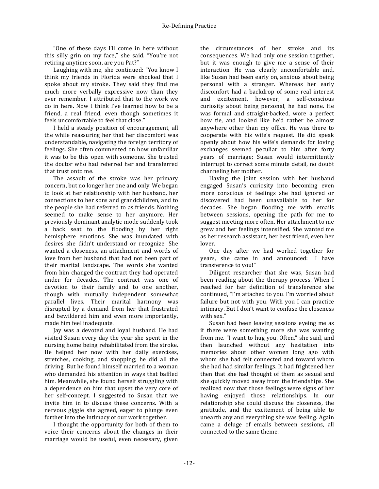"One of these days I'll come in here without this silly grin on my face," she said. "You're not retiring anytime soon, are you Pat?"

Laughing with me, she continued: "You know I think my friends in Florida were shocked that I spoke about my stroke. They said they find me much more verbally expressive now than they ever remember. I attributed that to the work we do in here. Now I think I've learned how to be a friend, a real friend, even though sometimes it feels uncomfortable to feel that close."

I held a steady position of encouragement, all the while reassuring her that her discomfort was understandable, navigating the foreign territory of feelings. She often commented on how unfamiliar it was to be this open with someone. She trusted the doctor who had referred her and transferred that trust onto me.

The assault of the stroke was her primary concern, but no longer her one and only. We began to look at her relationship with her husband, her connections to her sons and grandchildren, and to the people she had referred to as friends. Nothing seemed to make sense to her anymore. Her previously dominant analytic mode suddenly took a back seat to the flooding by her right hemisphere emotions. She was inundated with desires she didn't understand or recognize. She wanted a closeness, an attachment and words of love from her husband that had not been part of their marital landscape. The words she wanted from him changed the contract they had operated under for decades. The contract was one of devotion to their family and to one another, though with mutually independent somewhat parallel lives. Their marital harmony was disrupted by a demand from her that frustrated and bewildered him and even more importantly, made him feel inadequate.

Jay was a devoted and loyal husband. He had visited Susan every day the year she spent in the nursing home being rehabilitated from the stroke. He helped her now with her daily exercises, stretches, cooking, and shopping; he did all the driving. But he found himself married to a woman who demanded his attention in ways that baffled him. Meanwhile, she found herself struggling with a dependence on him that upset the very core of her self-concept. I suggested to Susan that we invite him in to discuss these concerns. With a nervous giggle she agreed, eager to plunge even further into the intimacy of our work together.

I thought the opportunity for both of them to voice their concerns about the changes in their marriage would be useful, even necessary, given the circumstances of her stroke and its consequences. We had only one session together. but it was enough to give me a sense of their interaction. He was clearly uncomfortable and, like Susan had been early on, anxious about being personal with a stranger. Whereas her early discomfort had a backdrop of some real interest and excitement, however, a self-conscious curiosity about being personal, he had none. He was formal and straight-backed, wore a perfect bow tie, and looked like he'd rather be almost anywhere other than my office. He was there to cooperate with his wife's request. He did speak openly about how his wife's demands for loving exchanges seemed peculiar to him after forty years of marriage; Susan would intermittently interrupt to correct some minute detail, no doubt channeling her mother.

Having the joint session with her husband engaged Susan's curiosity into becoming even more conscious of feelings she had ignored or discovered had been unavailable to her for decades. She began flooding me with emails between sessions, opening the path for me to suggest meeting more often. Her attachment to me grew and her feelings intensified. She wanted me as her research assistant, her best friend, even her lover.

One day after we had worked together for years, she came in and announced: "I have transference to you!"

Diligent researcher that she was, Susan had been reading about the therapy process. When I reached for her definition of transference she continued, "I'm attached to you. I'm worried about failure but not with you. With you I can practice intimacy. But I don't want to confuse the closeness with sex."

Susan had been leaving sessions eveing me as if there were something more she was wanting from me. "I want to hug you. Often," she said, and then launched without any hesitation into memories about other women long ago with whom she had felt connected and toward whom she had had similar feelings. It had frightened her then that she had thought of them as sexual and she quickly moved away from the friendships. She realized now that those feelings were signs of her having enjoyed those relationships. In our relationship she could discuss the closeness, the gratitude, and the excitement of being able to unearth any and everything she was feeling. Again came a deluge of emails between sessions, all connected to the same theme.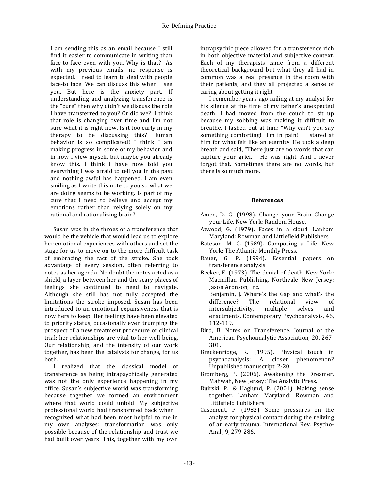I am sending this as an email because I still find it easier to communicate in writing than face-to-face even with you. Why is that? As with my previous emails, no response is expected. I need to learn to deal with people face-to face. We can discuss this when I see you. But here is the anxiety part. If understanding and analyzing transference is the "cure" then why didn't we discuss the role I have transferred to you? Or did we? I think that role is changing over time and I'm not sure what it is right now. Is it too early in my therapy to be discussing this? Human behavior is so complicated! I think I am making progress in some of my behavior and in how I view myself, but maybe you already know this. I think I have now told you everything I was afraid to tell you in the past and nothing awful has happened. I am even smiling as I write this note to you so what we are doing seems to be working. Is part of my cure that I need to believe and accept my emotions rather than relying solely on my rational and rationalizing brain?

Susan was in the throes of a transference that would be the vehicle that would lead us to explore her emotional experiences with others and set the stage for us to move on to the more difficult task of embracing the fact of the stroke. She took advantage of every session, often referring to notes as her agenda. No doubt the notes acted as a shield, a layer between her and the scary places of feelings she continued to need to navigate. Although she still has not fully accepted the limitations the stroke imposed, Susan has been introduced to an emotional expansiveness that is now hers to keep. Her feelings have been elevated to priority status, occasionally even trumping the prospect of a new treatment procedure or clinical trial; her relationships are vital to her well-being. Our relationship, and the intensity of our work together, has been the catalysts for change, for us both.

I realized that the classical model of transference as being intrapsychically generated was not the only experience happening in my office. Susan's subjective world was transforming because together we formed an environment where that world could unfold. My subjective professional world had transformed back when I recognized what had been most helpful to me in my own analyses: transformation was only possible because of the relationship and trust we had built over years. This, together with my own

intrapsychic piece allowed for a transference rich in both objective material and subjective context. Each of my therapists came from a different theoretical background but what they all had in common was a real presence in the room with their patients, and they all projected a sense of caring about getting it right.

I remember years ago railing at my analyst for his silence at the time of my father's unexpected death. I had moved from the couch to sit up because my sobbing was making it difficult to breathe. I lashed out at him: "Why can't you say something comforting! I'm in pain!" I stared at him for what felt like an eternity. He took a deep breath and said, "There just are no words that can capture your grief." He was right. And I never forgot that. Sometimes there are no words, but there is so much more.

### **References**

- Amen, D. G. (1998). Change your Brain Change your Life. New York: Random House.
- Atwood, G. (1979). Faces in a cloud. Lanham Maryland: Rowman and Littlefield Publishers
- Bateson, M. C. (1989). Composing a Life. New York: The Atlantic Monthly Press.
- Bauer, G. P. (1994). Essential papers on transference analysis.
- Becker, E. (1973). The denial of death. New York: Macmillan Publishing. Northvale New Jersey: Jason Aronson, Inc. Benjamin, J. Where's the Gap and what's the difference? The relational view of intersubjectivity, multiple selves and enactments. Contemporary Psychoanalysis, 46, 112-119.
- Bird, B. Notes on Transference. Journal of the American Psychoanalytic Association, 20, 267-301.
- Breckenridge, K. (1995). Physical touch in psychoanalysis: A closet phenomenon? Unpublished manuscript, 2-20.
- Bromberg, P. (2006). Awakening the Dreamer. Mahwah, New Jersey: The Analytic Press.
- Buirski, P., & Haglund, P. (2001). Making sense together. Lanham Maryland: Rowman and Littlefield Publishers.
- Casement, P. (1982). Some pressures on the analyst for physical contact during the reliving of an early trauma. International Rev. Psycho-Anal., 9, 279-286.